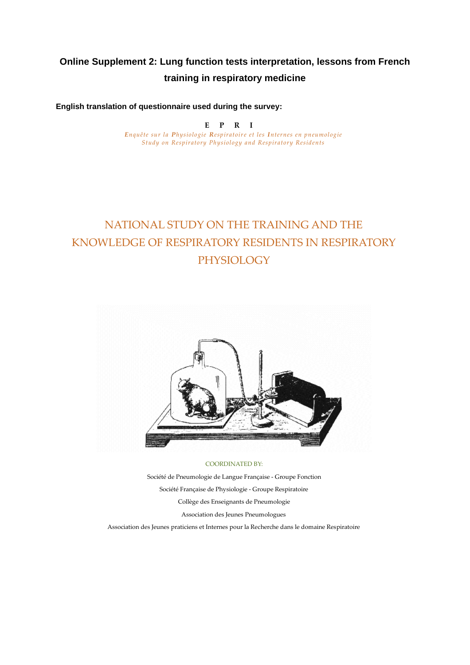# **Online Supplement 2: Lung function tests interpretation, lessons from French training in respiratory medicine**

**English translation of questionnaire used during the survey:**

**Example 18 Adduring the**<br> **E** P R I<br> **E** *Respiratoire et Enquête sur la Physiologie Respiratoire et les Internes en pneumologie Study on Respiratory Physiology and Respiratory Residents*

# NATIONAL STUDY ON THE TRAINING AND THE KNOWLEDGE OF RESPIRATORY RESIDENTS IN RESPIRATORY PHYSIOLOGY



#### COORDINATED BY:

Société de Pneumologie de Langue Française - Groupe Fonction Société Française de Physiologie - Groupe Respiratoire Collège des Enseignants de Pneumologie Association des Jeunes Pneumologues Association des Jeunes praticiens et Internes pour la Recherche dans le domaine Respiratoire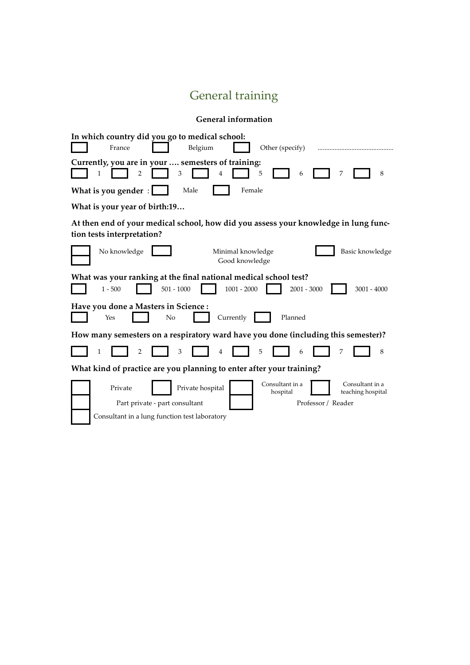# General training

| <b>General information</b>                                                                                                                                                                                  |  |  |  |  |
|-------------------------------------------------------------------------------------------------------------------------------------------------------------------------------------------------------------|--|--|--|--|
| In which country did you go to medical school:<br>France<br>Belgium<br>Other (specify)                                                                                                                      |  |  |  |  |
| Currently, you are in your  semesters of training:<br>3<br>5<br>8<br>2<br>4<br>6<br>7                                                                                                                       |  |  |  |  |
| What is you gender:<br>Male<br>Female                                                                                                                                                                       |  |  |  |  |
| What is your year of birth:19                                                                                                                                                                               |  |  |  |  |
| At then end of your medical school, how did you assess your knowledge in lung func-<br>tion tests interpretation?                                                                                           |  |  |  |  |
| No knowledge<br>Basic knowledge<br>Minimal knowledge<br>Good knowledge                                                                                                                                      |  |  |  |  |
| What was your ranking at the final national medical school test?<br>$1001 - 2000$<br>$501 - 1000$<br>$2001 - 3000$<br>$3001 - 4000$<br>$1 - 500$                                                            |  |  |  |  |
| Have you done a Masters in Science :<br>No<br>Currently<br>Planned<br>Yes                                                                                                                                   |  |  |  |  |
| How many semesters on a respiratory ward have you done (including this semester)?                                                                                                                           |  |  |  |  |
| 8<br>1<br>2<br>3<br>5<br>6                                                                                                                                                                                  |  |  |  |  |
| What kind of practice are you planning to enter after your training?                                                                                                                                        |  |  |  |  |
| Consultant in a<br>Consultant in a<br>Private hospital<br>Private<br>hospital<br>teaching hospital<br>Part private - part consultant<br>Professor / Reader<br>Consultant in a lung function test laboratory |  |  |  |  |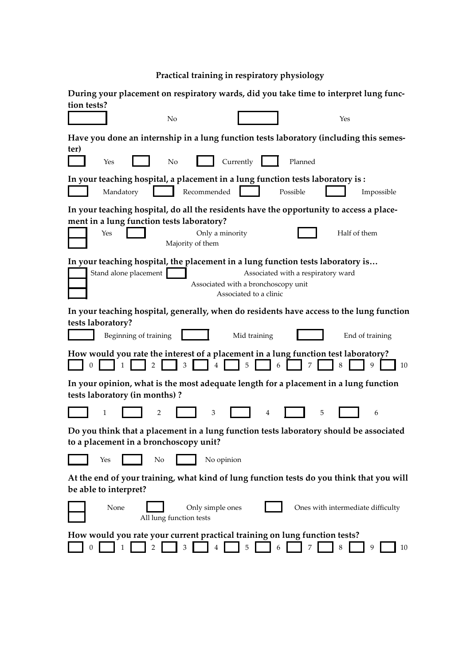**Practical training in respiratory physiology**

| During your placement on respiratory wards, did you take time to interpret lung func-                                                                                                                           |
|-----------------------------------------------------------------------------------------------------------------------------------------------------------------------------------------------------------------|
| tion tests?                                                                                                                                                                                                     |
| No<br>Yes                                                                                                                                                                                                       |
| Have you done an internship in a lung function tests laboratory (including this semes-                                                                                                                          |
| ter)<br>Currently<br>Yes<br>No<br>Planned                                                                                                                                                                       |
| In your teaching hospital, a placement in a lung function tests laboratory is :<br>Recommended<br>Mandatory<br>Possible<br>Impossible                                                                           |
| In your teaching hospital, do all the residents have the opportunity to access a place-<br>ment in a lung function tests laboratory?<br>Yes<br>Only a minority<br>Half of them<br>Majority of them              |
| In your teaching hospital, the placement in a lung function tests laboratory is<br>Stand alone placement<br>Associated with a respiratory ward<br>Associated with a bronchoscopy unit<br>Associated to a clinic |
| In your teaching hospital, generally, when do residents have access to the lung function<br>tests laboratory?<br>Beginning of training<br>Mid training<br>End of training                                       |
| How would you rate the interest of a placement in a lung function test laboratory?<br>5<br>9<br>0<br>10                                                                                                         |
| In your opinion, what is the most adequate length for a placement in a lung function<br>tests laboratory (in months)?                                                                                           |
| 1<br>3<br>5<br>2<br>4<br>6                                                                                                                                                                                      |
| Do you think that a placement in a lung function tests laboratory should be associated<br>to a placement in a bronchoscopy unit?                                                                                |
| No opinion<br>No<br>Yes                                                                                                                                                                                         |
| At the end of your training, what kind of lung function tests do you think that you will<br>be able to interpret?                                                                                               |
| Ones with intermediate difficulty<br>None<br>Only simple ones<br>All lung function tests                                                                                                                        |
| How would you rate your current practical training on lung function tests?<br>5<br>3<br>4<br>6<br>9<br>10                                                                                                       |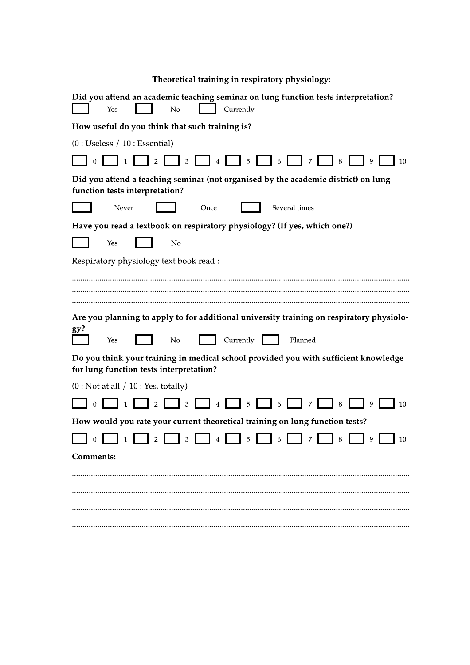|   |   | Theoretical training in respiratory physiology: |  |  |   |  |
|---|---|-------------------------------------------------|--|--|---|--|
| . | . |                                                 |  |  | . |  |

| Currently<br>N <sub>o</sub><br>Yes                                                                                             |
|--------------------------------------------------------------------------------------------------------------------------------|
| How useful do you think that such training is?                                                                                 |
| (0:Useless / 10:Essential)                                                                                                     |
| 3<br>4<br>5<br>10<br>6                                                                                                         |
| Did you attend a teaching seminar (not organised by the academic district) on lung<br>function tests interpretation?           |
| Never<br>Several times<br>Once                                                                                                 |
| Have you read a textbook on respiratory physiology? (If yes, which one?)                                                       |
| No<br>Yes                                                                                                                      |
| Respiratory physiology text book read :                                                                                        |
| Are you planning to apply to for additional university training on respiratory physiolo-                                       |
| gy?                                                                                                                            |
| No<br>Currently<br>Planned<br>Yes                                                                                              |
| Do you think your training in medical school provided you with sufficient knowledge<br>for lung function tests interpretation? |
| (0: Not at all / 10: Yes, totally)                                                                                             |
| $\overline{0}$<br>3<br>5<br>10<br>4<br>6<br>7<br>8<br>9                                                                        |
| How would you rate your current theoretical training on lung function tests?                                                   |
| 5<br>0<br>2<br>3<br>8<br>9<br>10<br>4<br>6                                                                                     |
| <b>Comments:</b>                                                                                                               |
|                                                                                                                                |
|                                                                                                                                |
|                                                                                                                                |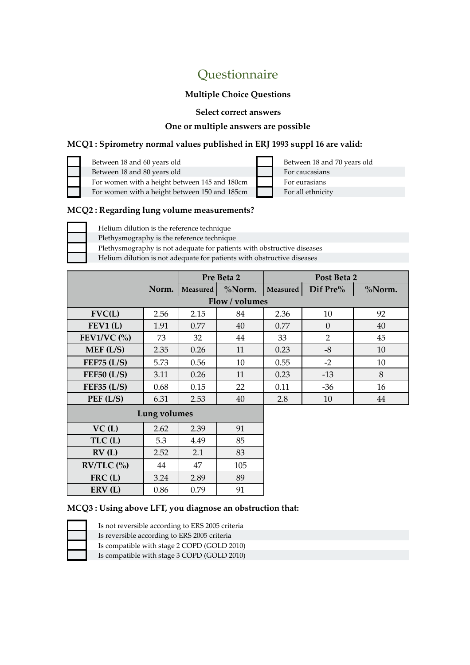# Questionnaire

### **Multiple Choice Questions**

**Select correct answers**

#### **One or multiple answers are possible**

### **MCQ1 : Spirometry normal values published in ERJ 1993 suppl 16 are valid:**

| Between 18 and 60 years old                   |
|-----------------------------------------------|
| Between 18 and 80 years old                   |
| For women with a height between 145 and 180cm |
| For women with a height between 150 and 185cm |

Between 18 and 70 years old For caucasians For eurasians For all ethnicity

#### **MCQ2 : Regarding lung volume measurements?**

Helium dilution is the reference technique Plethysmography is the reference technique

Plethysmography is not adequate for patients with obstructive diseases Helium dilution is not adequate for patients with obstructive diseases

| - Flemum diffusion is not adequate for patients with obstructive diseases |  |  |
|---------------------------------------------------------------------------|--|--|
|                                                                           |  |  |
|                                                                           |  |  |

|                            |                | Pre Beta 2      |        |          | Post Beta 2    |        |
|----------------------------|----------------|-----------------|--------|----------|----------------|--------|
|                            | Norm.          | <b>Measured</b> | %Norm. | Measured | Dif Pre%       | %Norm. |
|                            | Flow / volumes |                 |        |          |                |        |
| FVC(L)                     | 2.56           | 2.15            | 84     | 2.36     | 10             | 92     |
| FEV1(L)                    | 1.91           | 0.77            | 40     | 0.77     | $\Omega$       | 40     |
| FEV1/VC $\left(\% \right)$ | 73             | 32              | 44     | 33       | $\overline{2}$ | 45     |
| MEF (L/S)                  | 2.35           | 0.26            | 11     | 0.23     | $-8$           | 10     |
| FEF75 $(L/S)$              | 5.73           | 0.56            | 10     | 0.55     | $-2$           | 10     |
| FEF50 (L/S)                | 3.11           | 0.26            | 11     | 0.23     | $-13$          | 8      |
| FEF35 $(L/S)$              | 0.68           | 0.15            | 22     | 0.11     | $-36$          | 16     |
| PEF(L/S)<br>6.31           |                | 2.53            | 40     | 2.8      | 10             | 44     |
|                            |                |                 |        |          |                |        |

| Lung volumes |  |
|--------------|--|
|--------------|--|

| VC(L)                               | 2.62 | 2.39 | 91  |
|-------------------------------------|------|------|-----|
| TLC(L)                              | 5.3  | 4.49 | 85  |
| RV(L)                               | 2.52 | 2.1  | 83  |
| $RV/TLC$ $\left(\frac{0}{0}\right)$ | 44   | 47   | 105 |
| $FRC$ (L)                           | 3.24 | 2.89 | 89  |
| ERV(L)                              | 0.86 | 0.79 | 91  |

#### **MCQ3 : Using above LFT, you diagnose an obstruction that:**

Is not reversible according to ERS 2005 criteria Is reversible according to ERS 2005 criteria

Is compatible with stage 2 COPD (GOLD 2010)

Is compatible with stage 3 COPD (GOLD 2010)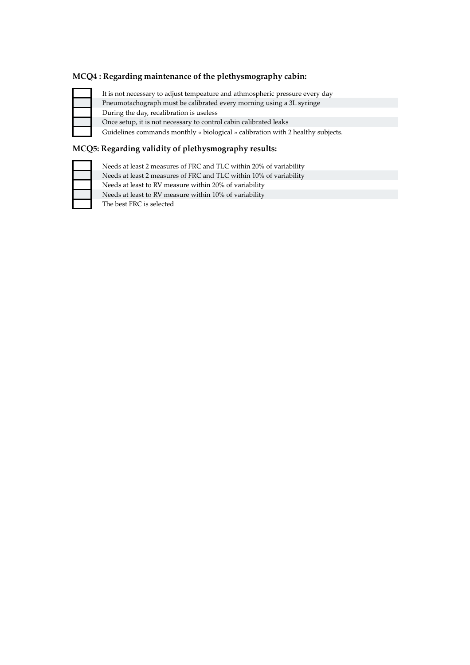#### **MCQ4 : Regarding maintenance of the plethysmography cabin:**

It is not necessary to adjust tempeature and athmospheric pressure every day Pneumotachograph must be calibrated every morning using a 3L syringe During the day, recalibration is useless Once setup, it is not necessary to control cabin calibrated leaks Guidelines commands monthly « biological » calibration with 2 healthy subjects.

### **MCQ5: Regarding validity of plethysmography results:**

| Needs at least 2 measures of FRC and TLC within 20% of variability |
|--------------------------------------------------------------------|
| Needs at least 2 measures of FRC and TLC within 10% of variability |
| Needs at least to RV measure within 20% of variability             |
| Needs at least to RV measure within 10% of variability             |
| The best FRC is selected                                           |
|                                                                    |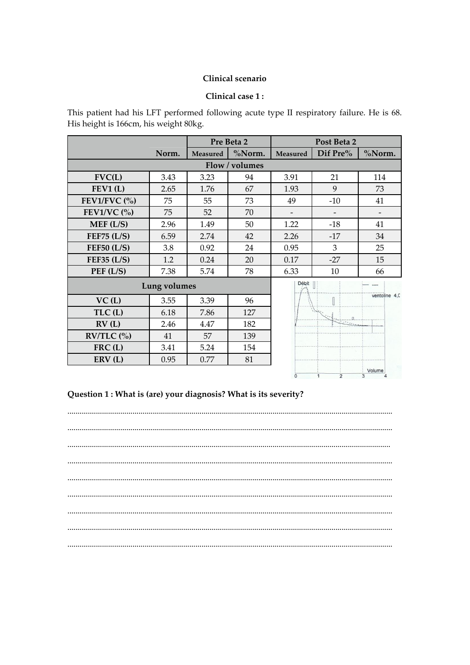#### Clinical scenario

#### Clinical case 1:

This patient had his LFT performed following acute type II respiratory failure. He is 68. His height is 166cm, his weight 80kg.

|                |              |                | Pre Beta 2 |                 | Post Beta 2 |               |
|----------------|--------------|----------------|------------|-----------------|-------------|---------------|
|                | Norm.        | Measured       | %Norm.     | <b>Measured</b> | Dif Pre%    | %Norm.        |
|                |              | Flow / volumes |            |                 |             |               |
| FVC(L)         | 3.43         | 3.23           | 94         | 3.91            | 21          | 114           |
| FEV1(L)        | 2.65         | 1.76           | 67         | 1.93            | 9           | 73            |
| FEV1/FVC $(%)$ | 75           | 55             | 73         | 49              | $-10$       | 41            |
| FEV1/VC $(%)$  | 75           | 52             | 70         |                 |             |               |
| MEF (L/S)      | 2.96         | 1.49           | 50         | 1.22            | $-18$       | 41            |
| FEF75 $(L/S)$  | 6.59         | 2.74           | 42         | 2.26            | $-17$       | 34            |
| FEF50 $(L/S)$  | 3.8          | 0.92           | 24         | 0.95            | 3           | 25            |
| FEF35 $(L/S)$  | 1.2          | 0.24           | 20         | 0.17            | $-27$       | 15            |
| PEF(L/S)       | 7.38         | 5.74           | 78         | 6.33            | 10          | 66            |
|                | Lung volumes |                |            | Débit           |             |               |
| VC(L)          | 3.55         | 3.39           | 96         |                 |             | ventoline 4.0 |
| TLC(L)         | 6.18         | 7.86           | 127        |                 |             |               |
| RV(L)          | 2.46         | 4.47           | 182        |                 |             |               |
| $RV/TLC$ (%)   | 41           | 57             | 139        |                 |             |               |
| $FRC$ (L)      | 3.41         | 5.24           | 154        |                 |             |               |

81

Volume

## Question 1 : What is (are) your diagnosis? What is its severity?

0.77

0.95

ERV(L)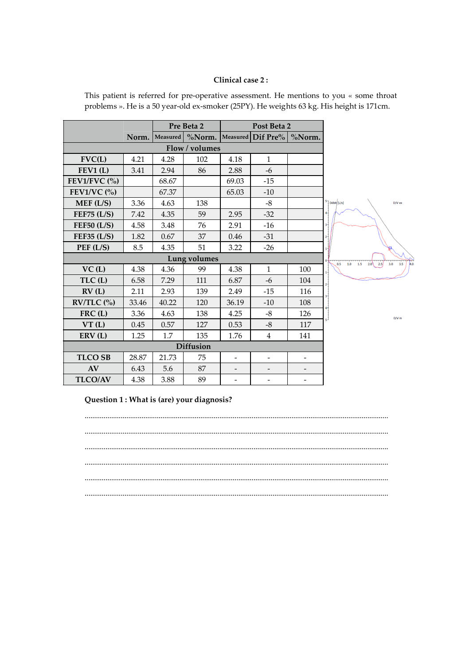#### **Clinical case 2 :**

|                                     |       | Pre Beta 2       |                     |                          | Post Beta 2                      |                          |  |
|-------------------------------------|-------|------------------|---------------------|--------------------------|----------------------------------|--------------------------|--|
|                                     |       | Norm.   Measured |                     |                          | $\%$ Norm. Measured Dif Pre $\%$ | %Norm.                   |  |
|                                     |       |                  | Flow / volumes      |                          |                                  |                          |  |
| FVC(L)                              | 4.21  | 4.28             | 102                 | 4.18                     | $\mathbf{1}$                     |                          |  |
| FEV1(L)                             | 3.41  | 2.94             | 86                  | 2.88                     | $-6$                             |                          |  |
| FEV1/FVC $(\% )$                    |       | 68.67            |                     | 69.03                    | $-15$                            |                          |  |
| FEV1/VC $(%)$                       |       | 67.37            |                     | 65.03                    | $-10$                            |                          |  |
| MEF (L/S)                           | 3.36  | 4.63             | 138                 |                          | $-8$                             |                          |  |
| FEF75 $(L/S)$                       | 7.42  | 4.35             | 59                  | 2.95                     | $-32$                            |                          |  |
| FEF50 (L/S)                         | 4.58  | 3.48             | 76                  | 2.91                     | $-16$                            |                          |  |
| FEF35 $(L/S)$                       | 1.82  | 0.67             | 37                  | 0.46                     | -31                              |                          |  |
| PEF (L/S)                           | 8.5   | 4.35             | 51                  | 3.22                     | $-26$                            |                          |  |
|                                     |       |                  | <b>Lung volumes</b> |                          |                                  |                          |  |
| VC(L)                               | 4.38  | 4.36             | 99                  | 4.38                     | $\mathbf{1}$                     | 100                      |  |
| TLC(L)                              | 6.58  | 7.29             | 111                 | 6.87                     | $-6$                             | 104                      |  |
| RV(L)                               | 2.11  | 2.93             | 139                 | 2.49                     | $-15$                            | 116                      |  |
| $RV/TLC$ $\left(\frac{0}{0}\right)$ | 33.46 | 40.22            | 120                 | 36.19                    | $-10$                            | 108                      |  |
| $FRC$ (L)                           | 3.36  | 4.63             | 138                 | 4.25                     | $-8$                             | 126                      |  |
| VT(L)                               | 0.45  | 0.57             | 127                 | 0.53                     | $-8$                             | 117                      |  |
| ERV(L)                              | 1.25  | 1.7              | 135                 | 1.76                     | $\overline{4}$                   | 141                      |  |
| <b>Diffusion</b>                    |       |                  |                     |                          |                                  |                          |  |
| <b>TLCO SB</b>                      | 28.87 | 21.73            | 75                  | $\blacksquare$           | $\overline{\phantom{0}}$         | $\overline{\phantom{a}}$ |  |
| AV                                  | 6.43  | 5.6              | 87                  | $\overline{\phantom{a}}$ |                                  |                          |  |
| <b>TLCO/AV</b>                      | 4.38  | 3.88             | 89                  | $\overline{\phantom{0}}$ |                                  | $\overline{\phantom{0}}$ |  |

This patient is referred for pre-operative assessment. He mentions to you « some throat problems ». He is a 50 year-old ex-smoker (25PY). He weights 63 kg. His height is 171cm.

#### **Question 1 : What is (are) your diagnosis?**

................................................................................................................................................................ ................................................................................................................................................................ ................................................................................................................................................................ ................................................................................................................................................................ ................................................................................................................................................................ ................................................................................................................................................................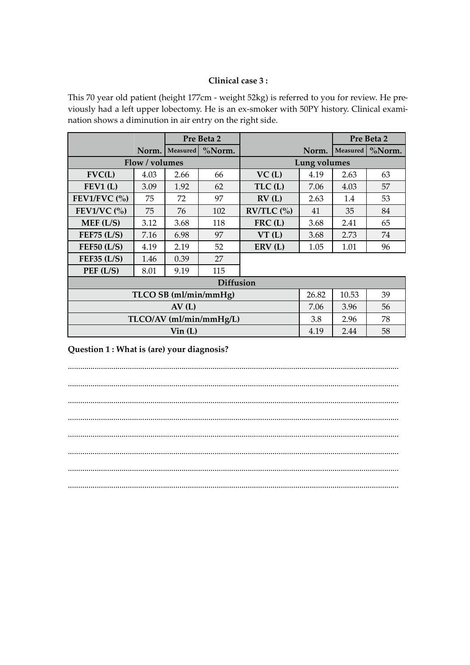#### Clinical case 3:

This 70 year old patient (height 177cm - weight 52kg) is referred to you for review. He previously had a left upper lobectomy. He is an ex-smoker with 50PY history. Clinical examination shows a diminution in air entry on the right side.

|                            |                |                  | Pre Beta 2              |                                     |              |          | Pre Beta 2 |
|----------------------------|----------------|------------------|-------------------------|-------------------------------------|--------------|----------|------------|
|                            | Norm.          | Measured         | %Norm.                  |                                     | Norm.        | Measured | %Norm.     |
|                            | Flow / volumes |                  |                         |                                     | Lung volumes |          |            |
| FVC(L)                     | 4.03           | 2.66             | 66                      | VC(L)                               | 4.19         | 2.63     | 63         |
| FEV1(L)                    | 3.09           | 1.92             | 62                      | TLC(L)                              | 7.06         | 4.03     | 57         |
| FEV1/FVC $\left(\%\right)$ | 75             | 72               | 97                      | RV(L)                               | 2.63         | 1.4      | 53         |
| FEV1/VC $(%)$              | 75             | 76               | 102                     | $RV/TLC$ $\left(\frac{0}{0}\right)$ | 41           | 35       | 84         |
| MEF (L/S)                  | 3.12           | 3.68             | 118                     | FRC(L)                              | 3.68         | 2.41     | 65         |
| FEF75 $(L/S)$              | 7.16           | 6.98             | 97                      | VT(L)                               | 3.68         | 2.73     | 74         |
| FEF50 (L/S)                | 4.19           | 2.19             | 52                      | ERV(L)                              | 1.05         | 1.01     | 96         |
| FEF35 $(L/S)$              | 1.46           | 0.39             | 27                      |                                     |              |          |            |
| PEF (L/S)                  | 8.01           | 9.19             | 115                     |                                     |              |          |            |
|                            |                |                  | <b>Diffusion</b>        |                                     |              |          |            |
| TLCO SB (ml/min/mmHg)      |                |                  |                         |                                     | 26.82        | 10.53    | 39         |
| AV(L)                      |                |                  |                         |                                     |              | 3.96     | 56         |
|                            |                |                  | TLCO/AV (ml/min/mmHg/L) |                                     | 3.8          | 2.96     | 78         |
|                            |                | $\text{Vir (L)}$ |                         |                                     | 4.19         | 2.44     | 58         |

Question 1 : What is (are) your diagnosis?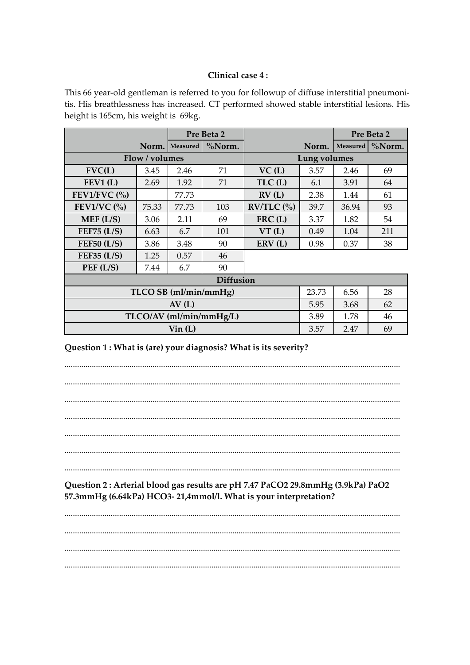#### Clinical case 4:

This 66 year-old gentleman is referred to you for followup of diffuse interstitial pneumonitis. His breathlessness has increased. CT performed showed stable interstitial lesions. His height is 165cm, his weight is 69kg.

|                             |                         | Pre Beta 2            |                  |                                     |                     |                 | Pre Beta 2 |
|-----------------------------|-------------------------|-----------------------|------------------|-------------------------------------|---------------------|-----------------|------------|
|                             | Norm.                   | Measured              | %Norm.           |                                     | Norm.               | <b>Measured</b> | %Norm.     |
|                             | Flow / volumes          |                       |                  |                                     | <b>Lung volumes</b> |                 |            |
| FVC(L)                      | 3.45                    | 2.46                  | 71               | VC(L)                               | 3.57                | 2.46            | 69         |
| FEV1(L)                     | 2.69                    | 1.92                  | 71               | TLC(L)                              | 6.1                 | 3.91            | 64         |
| FEV1/FVC $\left(\% \right)$ |                         | 77.73                 |                  | RV(L)                               | 2.38                | 1.44            | 61         |
| FEV1/VC $(%)$               | 75.33                   | 77.73                 | 103              | $RV/TLC$ $\left(\frac{0}{0}\right)$ | 39.7                | 36.94           | 93         |
| MEF(L/S)                    | 3.06                    | 2.11                  | 69               | FRC(L)                              | 3.37                | 1.82            | 54         |
| FEF75 $(L/S)$               | 6.63                    | 6.7                   | 101              | VT(L)                               | 0.49                | 1.04            | 211        |
| FEF50 (L/S)                 | 3.86                    | 3.48                  | 90               | ERV(L)                              | 0.98                | 0.37            | 38         |
| FEF35 $(L/S)$               | 1.25                    | 0.57                  | 46               |                                     |                     |                 |            |
| PEF (L/S)                   | 7.44                    | 6.7                   | 90               |                                     |                     |                 |            |
|                             |                         |                       | <b>Diffusion</b> |                                     |                     |                 |            |
|                             |                         | TLCO SB (ml/min/mmHg) |                  |                                     | 23.73               | 6.56            | 28         |
| AV(L)                       |                         |                       |                  |                                     |                     | 3.68            | 62         |
|                             | TLCO/AV (ml/min/mmHg/L) |                       |                  |                                     |                     |                 | 46         |
|                             |                         | $\text{Vir (L)}$      |                  |                                     | 3.57                | 2.47            | 69         |

Question 1 : What is (are) your diagnosis? What is its severity?

Question 2 : Arterial blood gas results are pH 7.47 PaCO2 29.8mmHg (3.9kPa) PaO2 57.3mmHg (6.64kPa) HCO3-21,4mmol/l. What is your interpretation?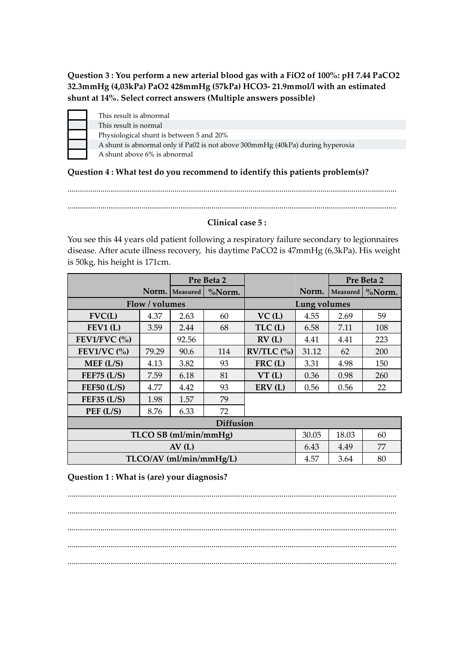**Question 3 : You perform a new arterial blood gas with a FiO2 of 100%: pH 7.44 PaCO2 32.3mmHg (4,03kPa) PaO2 428mmHg (57kPa) HCO3- 21.9mmol/l with an estimated shunt at 14%. Select correct answers (Multiple answers possible)**

| This result is abnormal                                                        |
|--------------------------------------------------------------------------------|
| This result is normal                                                          |
| Physiological shunt is between 5 and 20%                                       |
| A shunt is abnormal only if Pa02 is not above 300mmHg (40kPa) during hyperoxia |
| A shunt above 6% is abnormal                                                   |

### **Question 4 : What test do you recommend to identify this patients problem(s)?**

................................................................................................................................................................ ................................................................................................................................................................

#### **Clinical case 5 :**

You see this 44 years old patient following a respiratory failure secondary to legionnaires disease. After acute illness recovery, his daytime PaCO2 is 47mmHg (6,3kPa). His weight is 50kg, his height is 171cm.

|                       |                         | Pre Beta 2       |        |              |       |          | Pre Beta 2 |
|-----------------------|-------------------------|------------------|--------|--------------|-------|----------|------------|
|                       |                         | Norm.   Measured | %Norm. |              | Norm. | Measured | $\%$ Norm. |
|                       | Flow / volumes          |                  |        | Lung volumes |       |          |            |
| FVC(L)                | 4.37                    | 2.63             | 60     | VC(L)        | 4.55  | 2.69     | 59         |
| FEV1(L)               | 3.59                    | 2.44             | 68     | TLC(L)       | 6.58  | 7.11     | 108        |
| FEV1/FVC $(%)$        |                         | 92.56            |        | RV(L)        | 4.41  | 4.41     | 223        |
| FEV1/VC $(%)$         | 79.29                   | 90.6             | 114    | $RV/TLC$ (%) | 31.12 | 62       | 200        |
| MEF(L/S)              | 4.13                    | 3.82             | 93     | $FRC$ (L)    | 3.31  | 4.98     | 150        |
| FEF75 $(L/S)$         | 7.59                    | 6.18             | 81     | VT(L)        | 0.36  | 0.98     | 260        |
| <b>FEF50 (L/S)</b>    | 4.77                    | 4.42             | 93     | ERV(L)       | 0.56  | 0.56     | 22         |
| <b>FEF35 (L/S)</b>    | 1.98                    | 1.57             | 79     |              |       |          |            |
| PEF (L/S)             | 8.76                    | 6.33             | 72     |              |       |          |            |
| <b>Diffusion</b>      |                         |                  |        |              |       |          |            |
| TLCO SB (ml/min/mmHg) |                         |                  |        |              | 30.05 | 18.03    | 60         |
| AV(L)                 |                         |                  |        |              | 6.43  | 4.49     | 77         |
|                       | TLCO/AV (ml/min/mmHg/L) |                  |        |              |       | 3.64     | 80         |

**Question 1 : What is (are) your diagnosis?**

................................................................................................................................................................ ................................................................................................................................................................ ................................................................................................................................................................ ................................................................................................................................................................ ................................................................................................................................................................